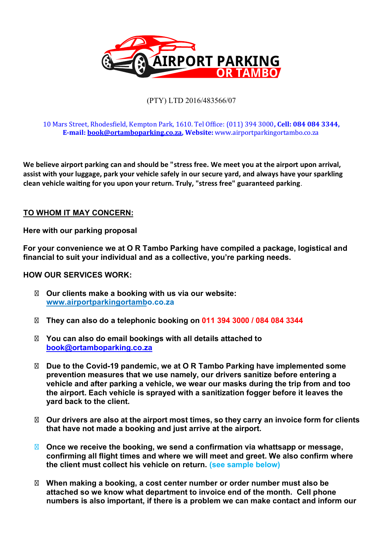

### (PTY) LTD 2016/483566/07

#### 10 Mars Street, Rhodes�ield, Kempton Park, 1610. Tel Of�ice: (011) 394 3000**, Cell: 084 084 3344, E-mail: book@ortamboparking.co.za, Website:** www.airportparkingortambo.co.za

**We believe airport parking can and should be "stress free. We meet you at the airport upon arrival, assist with your luggage, park your vehicle safely in our secure yard, and always have your sparkling clean vehicle wai�ng for you upon your return. Truly, "stress free" guaranteed parking**.

#### **TO WHOM IT MAY CONCERN:**

**Here with our parking proposal** 

**For your convenience we at O R Tambo Parking have compiled a package, logistical and financial to suit your individual and as a collective, you're parking needs.** 

**HOW OUR SERVICES WORK:** 

**Our clients make a booking with us via our website: www.airportparkingortambo.co.za**

**They can also do a telephonic booking on 011 394 3000 / 084 084 3344**

**You can also do email bookings with all details attached to book@ortamboparking.co.za**

**Due to the Covid-19 pandemic, we at O R Tambo Parking have implemented some prevention measures that we use namely, our drivers sanitize before entering a vehicle and after parking a vehicle, we wear our masks during the trip from and too the airport. Each vehicle is sprayed with a sanitization fogger before it leaves the yard back to the client.** 

**Our drivers are also at the airport most times, so they carry an invoice form for clients that have not made a booking and just arrive at the airport.** 

**Once we receive the booking, we send a confirmation via whattsapp or message, confirming all flight times and where we will meet and greet. We also confirm where the client must collect his vehicle on return. (see sample below)** 

**When making a booking, a cost center number or order number must also be attached so we know what department to invoice end of the month. Cell phone numbers is also important, if there is a problem we can make contact and inform our**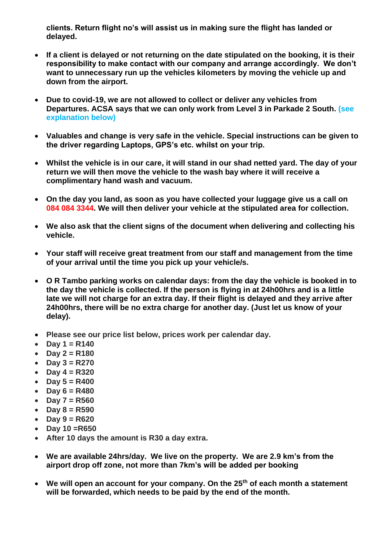**clients. Return flight no's will assist us in making sure the flight has landed or delayed.**

- **If a client is delayed or not returning on the date stipulated on the booking, it is their responsibility to make contact with our company and arrange accordingly. We don't want to unnecessary run up the vehicles kilometers by moving the vehicle up and down from the airport.**
- **Due to covid-19, we are not allowed to collect or deliver any vehicles from Departures. ACSA says that we can only work from Level 3 in Parkade 2 South. (see explanation below)**
- **Valuables and change is very safe in the vehicle. Special instructions can be given to the driver regarding Laptops, GPS's etc. whilst on your trip.**
- **Whilst the vehicle is in our care, it will stand in our shad netted yard. The day of your return we will then move the vehicle to the wash bay where it will receive a complimentary hand wash and vacuum.**
- **On the day you land, as soon as you have collected your luggage give us a call on 084 084 3344. We will then deliver your vehicle at the stipulated area for collection.**
- **We also ask that the client signs of the document when delivering and collecting his vehicle.**
- **Your staff will receive great treatment from our staff and management from the time of your arrival until the time you pick up your vehicle/s.**
- **O R Tambo parking works on calendar days: from the day the vehicle is booked in to the day the vehicle is collected. If the person is flying in at 24h00hrs and is a little late we will not charge for an extra day. If their flight is delayed and they arrive after 24h00hrs, there will be no extra charge for another day. (Just let us know of your delay).**
- **Please see our price list below, prices work per calendar day.**
- **Day 1 = R140**
- **Day 2 = R180**
- **Day 3 = R270**
- **Day 4 = R320**
- **Day 5 = R400**
- **Day 6 = R480**
- **Day 7 = R560**
- **Day 8 = R590**
- **Day 9 = R620**
- **Day 10 =R650**
- **After 10 days the amount is R30 a day extra.**
- **We are available 24hrs/day. We live on the property. We are 2.9 km's from the airport drop off zone, not more than 7km's will be added per booking**
- **We will open an account for your company. On the 25th of each month a statement will be forwarded, which needs to be paid by the end of the month.**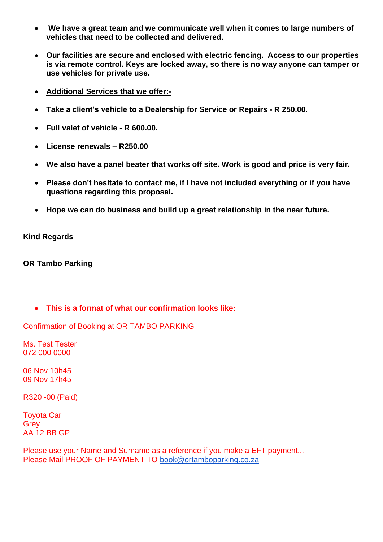- **We have a great team and we communicate well when it comes to large numbers of vehicles that need to be collected and delivered.**
- **Our facilities are secure and enclosed with electric fencing. Access to our properties is via remote control. Keys are locked away, so there is no way anyone can tamper or use vehicles for private use.**
- **Additional Services that we offer:-**
- **Take a client's vehicle to a Dealership for Service or Repairs - R 250.00.**
- **Full valet of vehicle - R 600.00.**
- **License renewals – R250.00**
- **We also have a panel beater that works off site. Work is good and price is very fair.**
- **Please don't hesitate to contact me, if I have not included everything or if you have questions regarding this proposal.**
- **Hope we can do business and build up a great relationship in the near future.**

**Kind Regards**

**OR Tambo Parking** 

• **This is a format of what our confirmation looks like:**

Confirmation of Booking at OR TAMBO PARKING

Ms. Test Tester 072 000 0000

06 Nov 10h45 09 Nov 17h45

R320 -00 (Paid)

Toyota Car **Grev** AA 12 BB GP

Please use your Name and Surname as a reference if you make a EFT payment... Please Mail PROOF OF PAYMENT TO [book@ortamboparking.co.za](mailto:book@ortamboparking.co.za)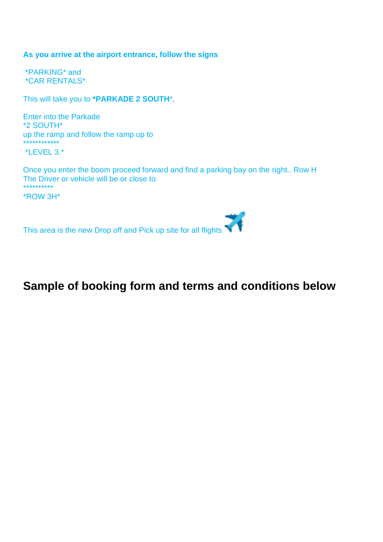#### **As you arrive at the airport entrance, follow the signs**

\*PARKING\* and \*CAR RENTALS\*

This will take you to **\*PARKADE 2 SOUTH**\*,

Enter into the Parkade \*2 SOUTH\* up the ramp and follow the ramp up to \*\*\*\*\*\*\*\*\*\*\*\*

\*LEVEL 3.\*

Once you enter the boom proceed forward and find a parking bay on the right.. Row H The Driver or vehicle will be or close to \*\*\*\*\*\*\*\*\*\*

\*ROW 3H\*

琴 This area is the new Drop off and Pick up site for all flights

# **Sample of booking form and terms and conditions below**